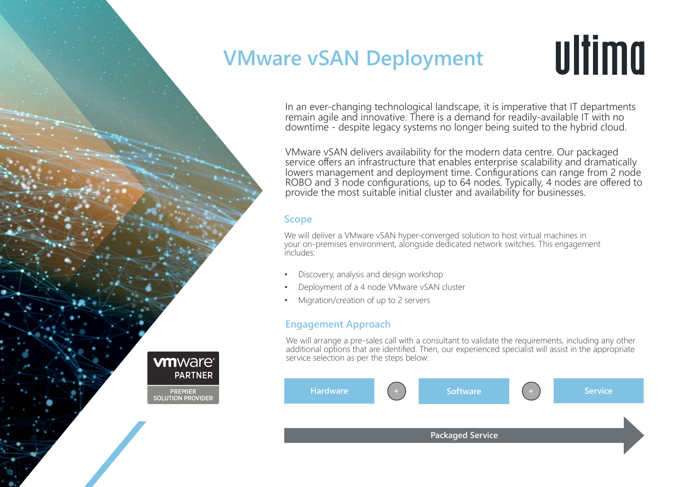## **VMware vSAN Deployment**

# ultima

In an ever-changing technological landscape, it is imperative that IT departments remain agile and innovative. There is a demand for readily-available IT with no downtime - despite legacy systems no longer being suited to the hybrid cloud.

VMware vSAN delivers availability for the modern data centre. Our packaged service offers an infrastructure that enables enterprise scalability and dramatically lowers management and deployment time. Configurations can range from 2 node ROBO and 3 node configurations, up to 64 nodes. Typically, 4 nodes are offered to provide the most suitable initial cluster and availability for businesses.

#### **Scope**

We will deliver a VMware vSAN hyper-converged solution to host virtual machines in your on-premises environment, alongside dedicated network switches. This engagement includes:

- Discovery, analysis and design workshop
- Deployment of a 4 node VMware vSAN cluster
- Migration/creation of up to 2 servers

### **Engagement Approach**

We will arrange a pre-sales call with a consultant to validate the requirements, including any other additional options that are identified. Then, our experienced specialist will assist in the appropriate service selection as per the steps below:



**vm**ware<sup>®</sup> **PARTNER** 

**PREMIER SOLUTION PROVIDER**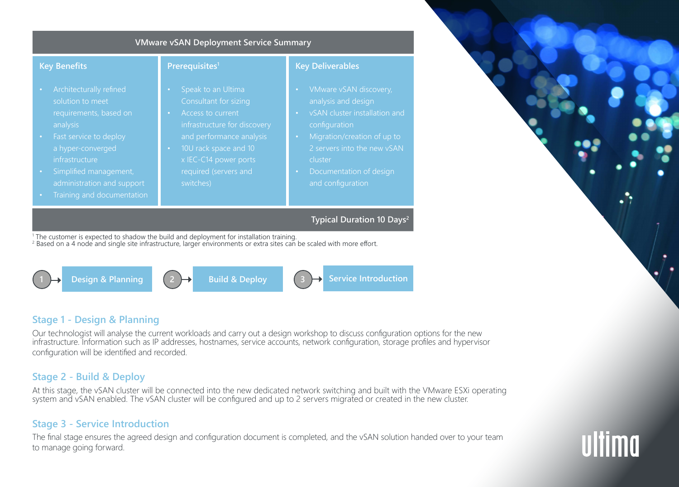



#### **Stage 1 - Design & Planning**

Our technologist will analyse the current workloads and carry out a design workshop to discuss configuration options for the new infrastructure. Information such as IP addresses, hostnames, service accounts, network configuration, storage profiles and hypervisor configuration will be identified and recorded.

### **Stage 2 - Build & Deploy**

At this stage, the vSAN cluster will be connected into the new dedicated network switching and built with the VMware ESXi operating system and vSAN enabled. The vSAN cluster will be configured and up to 2 servers migrated or created in the new cluster.

### **Stage 3 - Service Introduction**

The final stage ensures the agreed design and configuration document is completed, and the vSAN solution handed over to your team to manage going forward.